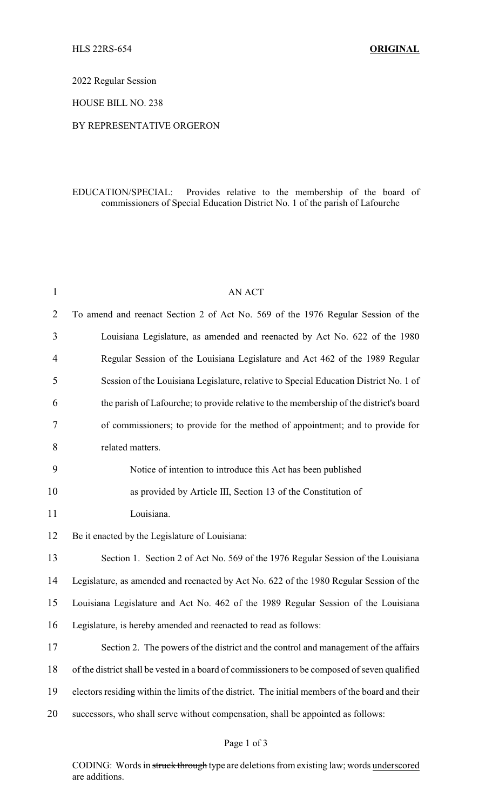2022 Regular Session

HOUSE BILL NO. 238

## BY REPRESENTATIVE ORGERON

## EDUCATION/SPECIAL: Provides relative to the membership of the board of commissioners of Special Education District No. 1 of the parish of Lafourche

| $\mathbf{1}$   | AN ACT                                                                                          |  |
|----------------|-------------------------------------------------------------------------------------------------|--|
| $\overline{2}$ | To amend and reenact Section 2 of Act No. 569 of the 1976 Regular Session of the                |  |
| 3              | Louisiana Legislature, as amended and reenacted by Act No. 622 of the 1980                      |  |
| 4              | Regular Session of the Louisiana Legislature and Act 462 of the 1989 Regular                    |  |
| 5              | Session of the Louisiana Legislature, relative to Special Education District No. 1 of           |  |
| 6              | the parish of Lafourche; to provide relative to the membership of the district's board          |  |
| 7              | of commissioners; to provide for the method of appointment; and to provide for                  |  |
| 8              | related matters.                                                                                |  |
| 9              | Notice of intention to introduce this Act has been published                                    |  |
| 10             | as provided by Article III, Section 13 of the Constitution of                                   |  |
| 11             | Louisiana.                                                                                      |  |
| 12             | Be it enacted by the Legislature of Louisiana:                                                  |  |
| 13             | Section 1. Section 2 of Act No. 569 of the 1976 Regular Session of the Louisiana                |  |
| 14             | Legislature, as amended and reenacted by Act No. 622 of the 1980 Regular Session of the         |  |
| 15             | Louisiana Legislature and Act No. 462 of the 1989 Regular Session of the Louisiana              |  |
| 16             | Legislature, is hereby amended and reenacted to read as follows:                                |  |
| 17             | Section 2. The powers of the district and the control and management of the affairs             |  |
| 18             | of the district shall be vested in a board of commissioners to be composed of seven qualified   |  |
| 19             | electors residing within the limits of the district. The initial members of the board and their |  |
| 20             | successors, who shall serve without compensation, shall be appointed as follows:                |  |
|                |                                                                                                 |  |

## Page 1 of 3

CODING: Words in struck through type are deletions from existing law; words underscored are additions.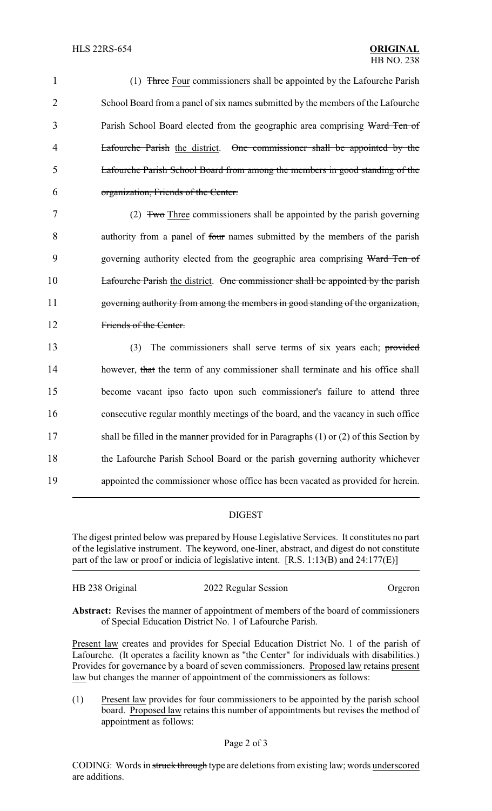1 (1) Three Four commissioners shall be appointed by the Lafourche Parish 2 School Board from a panel of  $\frac{1}{\sin \theta}$  names submitted by the members of the Lafourche 3 Parish School Board elected from the geographic area comprising Ward Ten of 4 Lafourche Parish the district. One commissioner shall be appointed by the 5 Lafourche Parish School Board from among the members in good standing of the 6 organization, Friends of the Center.

 (2) Two Three commissioners shall be appointed by the parish governing authority from a panel of four names submitted by the members of the parish 9 governing authority elected from the geographic area comprising Ward Ten of Lafourche Parish the district. One commissioner shall be appointed by the parish governing authority from among the members in good standing of the organization, Friends of the Center.

 (3) The commissioners shall serve terms of six years each; provided 14 however, that the term of any commissioner shall terminate and his office shall become vacant ipso facto upon such commissioner's failure to attend three consecutive regular monthly meetings of the board, and the vacancy in such office shall be filled in the manner provided for in Paragraphs (1) or (2) of this Section by the Lafourche Parish School Board or the parish governing authority whichever appointed the commissioner whose office has been vacated as provided for herein.

## DIGEST

The digest printed below was prepared by House Legislative Services. It constitutes no part of the legislative instrument. The keyword, one-liner, abstract, and digest do not constitute part of the law or proof or indicia of legislative intent. [R.S. 1:13(B) and 24:177(E)]

| HB 238 Original | 2022 Regular Session | Orgeron |
|-----------------|----------------------|---------|
|                 |                      |         |

**Abstract:** Revises the manner of appointment of members of the board of commissioners of Special Education District No. 1 of Lafourche Parish.

Present law creates and provides for Special Education District No. 1 of the parish of Lafourche. (It operates a facility known as "the Center" for individuals with disabilities.) Provides for governance by a board of seven commissioners. Proposed law retains present law but changes the manner of appointment of the commissioners as follows:

(1) Present law provides for four commissioners to be appointed by the parish school board. Proposed law retains this number of appointments but revises the method of appointment as follows: